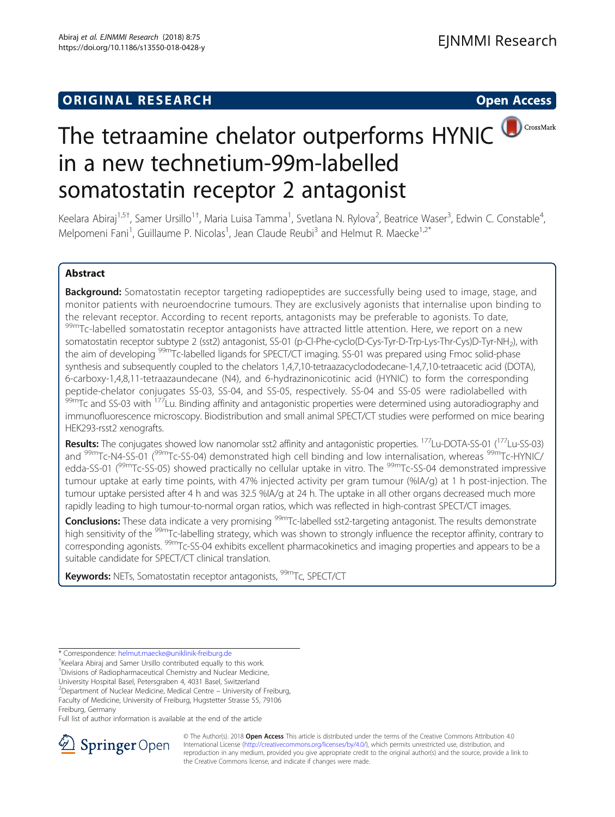## **ORIGINAL RESEARCH CONSUMING ACCESS**



# The tetraamine chelator outperforms HYNIC CrossMark in a new technetium-99m-labelled somatostatin receptor 2 antagonist

Keelara Abiraj<sup>1,5†</sup>, Samer Ursillo<sup>1†</sup>, Maria Luisa Tamma<sup>1</sup>, Svetlana N. Rylova<sup>2</sup>, Beatrice Waser<sup>3</sup>, Edwin C. Constable<sup>4</sup> , Melpomeni Fani<sup>1</sup>, Guillaume P. Nicolas<sup>1</sup>, Jean Claude Reubi<sup>3</sup> and Helmut R. Maecke<sup>1,2\*</sup>

### Abstract

Background: Somatostatin receptor targeting radiopeptides are successfully being used to image, stage, and monitor patients with neuroendocrine tumours. They are exclusively agonists that internalise upon binding to the relevant receptor. According to recent reports, antagonists may be preferable to agonists. To date, 99mTc-labelled somatostatin receptor antagonists have attracted little attention. Here, we report on a new somatostatin receptor subtype 2 (sst2) antagonist, SS-01 (p-Cl-Phe-cyclo(D-Cys-Tyr-D-Trp-Lys-Thr-Cys)D-Tyr-NH<sub>2</sub>), with the aim of developing <sup>99m</sup>Tc-labelled ligands for SPECT/CT imaging. SS-01 was prepared using Fmoc solid-phase synthesis and subsequently coupled to the chelators 1,4,7,10-tetraazacyclododecane-1,4,7,10-tetraacetic acid (DOTA), 6-carboxy-1,4,8,11-tetraazaundecane (N4), and 6-hydrazinonicotinic acid (HYNIC) to form the corresponding peptide-chelator conjugates SS-03, SS-04, and SS-05, respectively. SS-04 and SS-05 were radiolabelled with <sup>99mT</sup>C and SS-03 with <sup>177</sup>Lu. Binding affinity and antagonistic properties were determined using autoradiography and immunofluorescence microscopy. Biodistribution and small animal SPECT/CT studies were performed on mice bearing HEK293-rsst2 xenografts.

Results: The conjugates showed low nanomolar sst2 affinity and antagonistic properties. <sup>177</sup>Lu-DOTA-SS-01 (<sup>177</sup>Lu-SS-03) and <sup>99m</sup>Tc-N4-SS-01 (<sup>99m</sup>Tc-SS-04) demonstrated high cell binding and low internalisation, whereas <sup>99m</sup>Tc-HYNIC/ edda-SS-01 (<sup>99m</sup>Tc-SS-05) showed practically no cellular uptake in vitro. The <sup>99m</sup>Tc-SS-04 demonstrated impressive tumour uptake at early time points, with 47% injected activity per gram tumour (%IA/g) at 1 h post-injection. The tumour uptake persisted after 4 h and was 32.5 %IA/g at 24 h. The uptake in all other organs decreased much more rapidly leading to high tumour-to-normal organ ratios, which was reflected in high-contrast SPECT/CT images.

Conclusions: These data indicate a very promising <sup>99m</sup>Tc-labelled sst2-targeting antagonist. The results demonstrate high sensitivity of the 99mTc-labelling strategy, which was shown to strongly influence the receptor affinity, contrary to corresponding agonists. 99mTc-SS-04 exhibits excellent pharmacokinetics and imaging properties and appears to be a suitable candidate for SPECT/CT clinical translation.

**Keywords:** NETs, Somatostatin receptor antagonists, <sup>99m</sup>Tc, SPECT/CT

<sup>1</sup> Divisions of Radiopharmaceutical Chemistry and Nuclear Medicine,

University Hospital Basel, Petersgraben 4, 4031 Basel, Switzerland <sup>2</sup> Department of Nuclear Medicine, Medical Centre – University of Freiburg,

Freiburg, Germany

Full list of author information is available at the end of the article



© The Author(s). 2018 Open Access This article is distributed under the terms of the Creative Commons Attribution 4.0 International License ([http://creativecommons.org/licenses/by/4.0/\)](http://creativecommons.org/licenses/by/4.0/), which permits unrestricted use, distribution, and reproduction in any medium, provided you give appropriate credit to the original author(s) and the source, provide a link to the Creative Commons license, and indicate if changes were made.

<sup>\*</sup> Correspondence: [helmut.maecke@uniklinik-freiburg.de](mailto:helmut.maecke@uniklinik-freiburg.de) †

 $^{\dagger}$ Keelara Abiraj and Samer Ursillo contributed equally to this work.

Faculty of Medicine, University of Freiburg, Hugstetter Strasse 55, 79106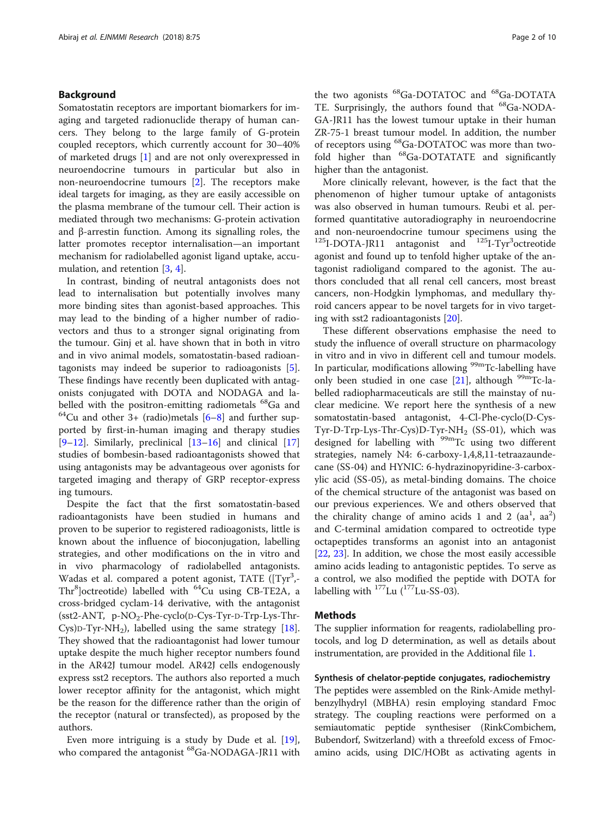#### Background

Somatostatin receptors are important biomarkers for imaging and targeted radionuclide therapy of human cancers. They belong to the large family of G-protein coupled receptors, which currently account for 30–40% of marketed drugs [[1\]](#page-8-0) and are not only overexpressed in neuroendocrine tumours in particular but also in non-neuroendocrine tumours [[2\]](#page-8-0). The receptors make ideal targets for imaging, as they are easily accessible on the plasma membrane of the tumour cell. Their action is mediated through two mechanisms: G-protein activation and β-arrestin function. Among its signalling roles, the latter promotes receptor internalisation—an important mechanism for radiolabelled agonist ligand uptake, accumulation, and retention [[3,](#page-8-0) [4\]](#page-8-0).

In contrast, binding of neutral antagonists does not lead to internalisation but potentially involves many more binding sites than agonist-based approaches. This may lead to the binding of a higher number of radiovectors and thus to a stronger signal originating from the tumour. Ginj et al. have shown that in both in vitro and in vivo animal models, somatostatin-based radioantagonists may indeed be superior to radioagonists [\[5](#page-8-0)]. These findings have recently been duplicated with antagonists conjugated with DOTA and NODAGA and labelled with the positron-emitting radiometals  $^{68}$ Ga and  $^{64}$ Cu and other 3+ (radio)metals [\[6](#page-8-0)–[8\]](#page-8-0) and further supported by first-in-human imaging and therapy studies [[9](#page-8-0)–[12\]](#page-8-0). Similarly, preclinical  $[13–16]$  $[13–16]$  $[13–16]$  $[13–16]$  $[13–16]$  and clinical  $[17]$  $[17]$  $[17]$ studies of bombesin-based radioantagonists showed that using antagonists may be advantageous over agonists for targeted imaging and therapy of GRP receptor-express ing tumours.

Despite the fact that the first somatostatin-based radioantagonists have been studied in humans and proven to be superior to registered radioagonists, little is known about the influence of bioconjugation, labelling strategies, and other modifications on the in vitro and in vivo pharmacology of radiolabelled antagonists. Wadas et al. compared a potent agonist, TATE ([Tyr<sup>3</sup>,-Thr<sup>8</sup>]octreotide) labelled with <sup>64</sup>Cu using CB-TE2A, a cross-bridged cyclam-14 derivative, with the antagonist  $(sst2-ANT, p-NO<sub>2</sub>-Phe-cyclo(D-Cys-Tyr-D-Trp-Lys-Thr-$ Cys)D-Tyr-NH<sub>2</sub>), labelled using the same strategy [\[18](#page-9-0)]. They showed that the radioantagonist had lower tumour uptake despite the much higher receptor numbers found in the AR42J tumour model. AR42J cells endogenously express sst2 receptors. The authors also reported a much lower receptor affinity for the antagonist, which might be the reason for the difference rather than the origin of the receptor (natural or transfected), as proposed by the authors.

Even more intriguing is a study by Dude et al. [\[19](#page-9-0)], who compared the antagonist <sup>68</sup>Ga-NODAGA-JR11 with

the two agonists <sup>68</sup>Ga-DOTATOC and <sup>68</sup>Ga-DOTATA TE. Surprisingly, the authors found that <sup>68</sup>Ga-NODA-GA-JR11 has the lowest tumour uptake in their human ZR-75-1 breast tumour model. In addition, the number of receptors using <sup>68</sup>Ga-DOTATOC was more than twofold higher than <sup>68</sup>Ga-DOTATATE and significantly higher than the antagonist.

More clinically relevant, however, is the fact that the phenomenon of higher tumour uptake of antagonists was also observed in human tumours. Reubi et al. performed quantitative autoradiography in neuroendocrine and non-neuroendocrine tumour specimens using the  $^{125}$ I-DOTA-JR11 antagonist and  $^{125}$ I-Tyr<sup>3</sup>octreotide agonist and found up to tenfold higher uptake of the antagonist radioligand compared to the agonist. The authors concluded that all renal cell cancers, most breast cancers, non-Hodgkin lymphomas, and medullary thyroid cancers appear to be novel targets for in vivo targeting with sst2 radioantagonists [[20\]](#page-9-0).

These different observations emphasise the need to study the influence of overall structure on pharmacology in vitro and in vivo in different cell and tumour models. In particular, modifications allowing <sup>99m</sup>Tc-labelling have only been studied in one case [\[21\]](#page-9-0), although  $99m$ Tc-labelled radiopharmaceuticals are still the mainstay of nuclear medicine. We report here the synthesis of a new somatostatin-based antagonist, 4-Cl-Phe-cyclo(D-Cys-Tyr-D-Trp-Lys-Thr-Cys)D-Tyr-NH<sub>2</sub> (SS-01), which was designed for labelling with  $99m$ Tc using two different strategies, namely N4: 6-carboxy-1,4,8,11-tetraazaundecane (SS-04) and HYNIC: 6-hydrazinopyridine-3-carboxylic acid (SS-05), as metal-binding domains. The choice of the chemical structure of the antagonist was based on our previous experiences. We and others observed that the chirality change of amino acids 1 and 2  $(aa^1, aa^2)$ and C-terminal amidation compared to octreotide type octapeptides transforms an agonist into an antagonist [[22,](#page-9-0) [23\]](#page-9-0). In addition, we chose the most easily accessible amino acids leading to antagonistic peptides. To serve as a control, we also modified the peptide with DOTA for labelling with  $^{177}$ Lu ( $^{177}$ Lu-SS-03).

#### Methods

The supplier information for reagents, radiolabelling protocols, and log D determination, as well as details about instrumentation, are provided in the Additional file [1.](#page-8-0)

#### Synthesis of chelator-peptide conjugates, radiochemistry

The peptides were assembled on the Rink-Amide methylbenzylhydryl (MBHA) resin employing standard Fmoc strategy. The coupling reactions were performed on a semiautomatic peptide synthesiser (RinkCombichem, Bubendorf, Switzerland) with a threefold excess of Fmocamino acids, using DIC/HOBt as activating agents in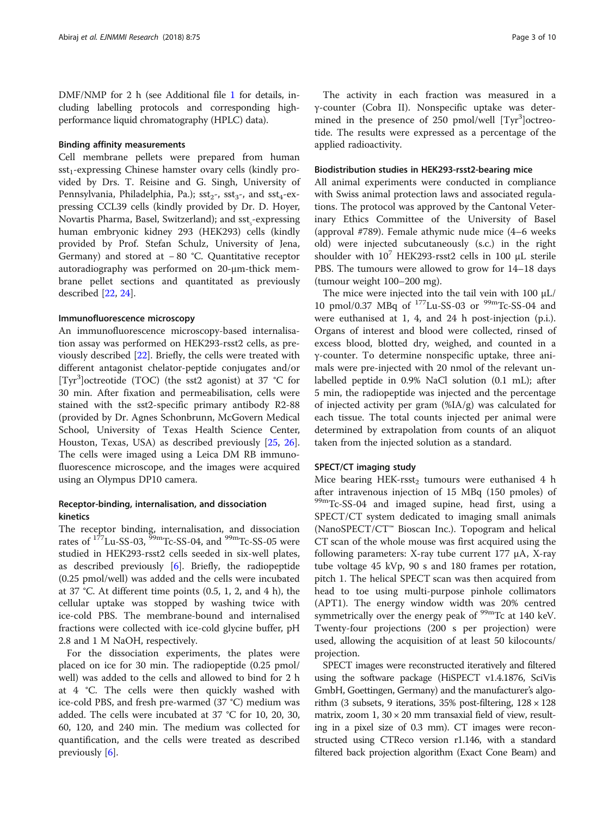DMF/NMP for 2 h (see Additional file [1](#page-8-0) for details, including labelling protocols and corresponding highperformance liquid chromatography (HPLC) data).

#### Binding affinity measurements

Cell membrane pellets were prepared from human  $sst_1$ -expressing Chinese hamster ovary cells (kindly provided by Drs. T. Reisine and G. Singh, University of Pennsylvania, Philadelphia, Pa.);  $sst_2$ -,  $sst_3$ -, and  $sst_4$ -expressing CCL39 cells (kindly provided by Dr. D. Hoyer, Novartis Pharma, Basel, Switzerland); and sst<sub>,</sub>-expressing human embryonic kidney 293 (HEK293) cells (kindly provided by Prof. Stefan Schulz, University of Jena, Germany) and stored at − 80 °C. Quantitative receptor autoradiography was performed on 20-μm-thick membrane pellet sections and quantitated as previously described [[22](#page-9-0), [24](#page-9-0)].

#### Immunofluorescence microscopy

An immunofluorescence microscopy-based internalisation assay was performed on HEK293-rsst2 cells, as previously described [[22\]](#page-9-0). Briefly, the cells were treated with different antagonist chelator-peptide conjugates and/or [Tyr<sup>3</sup> ]octreotide (TOC) (the sst2 agonist) at 37 °C for 30 min. After fixation and permeabilisation, cells were stained with the sst2-specific primary antibody R2-88 (provided by Dr. Agnes Schonbrunn, McGovern Medical School, University of Texas Health Science Center, Houston, Texas, USA) as described previously [\[25](#page-9-0), [26](#page-9-0)]. The cells were imaged using a Leica DM RB immunofluorescence microscope, and the images were acquired using an Olympus DP10 camera.

#### Receptor-binding, internalisation, and dissociation kinetics

The receptor binding, internalisation, and dissociation rates of  $177$ Lu-SS-03,  $99$ mTc-SS-04, and  $99$ mTc-SS-05 were studied in HEK293-rsst2 cells seeded in six-well plates, as described previously [\[6](#page-8-0)]. Briefly, the radiopeptide (0.25 pmol/well) was added and the cells were incubated at 37 °C. At different time points (0.5, 1, 2, and 4 h), the cellular uptake was stopped by washing twice with ice-cold PBS. The membrane-bound and internalised fractions were collected with ice-cold glycine buffer, pH 2.8 and 1 M NaOH, respectively.

For the dissociation experiments, the plates were placed on ice for 30 min. The radiopeptide (0.25 pmol/ well) was added to the cells and allowed to bind for 2 h at 4 °C. The cells were then quickly washed with ice-cold PBS, and fresh pre-warmed (37 °C) medium was added. The cells were incubated at 37 °C for 10, 20, 30, 60, 120, and 240 min. The medium was collected for quantification, and the cells were treated as described previously [\[6](#page-8-0)].

The activity in each fraction was measured in a γ-counter (Cobra II). Nonspecific uptake was determined in the presence of  $250$  pmol/well  $[Tyr<sup>3</sup>]$ octreotide. The results were expressed as a percentage of the applied radioactivity.

#### Biodistribution studies in HEK293-rsst2-bearing mice

All animal experiments were conducted in compliance with Swiss animal protection laws and associated regulations. The protocol was approved by the Cantonal Veterinary Ethics Committee of the University of Basel (approval #789). Female athymic nude mice (4–6 weeks old) were injected subcutaneously (s.c.) in the right shoulder with  $10^7$  HEK293-rsst2 cells in 100  $\mu$ L sterile PBS. The tumours were allowed to grow for 14–18 days (tumour weight 100–200 mg).

The mice were injected into the tail vein with 100 μL/ 10 pmol/0.37 MBq of  $^{177}$ Lu-SS-03 or  $^{99}$ mTc-SS-04 and were euthanised at 1, 4, and 24 h post-injection (p.i.). Organs of interest and blood were collected, rinsed of excess blood, blotted dry, weighed, and counted in a γ-counter. To determine nonspecific uptake, three animals were pre-injected with 20 nmol of the relevant unlabelled peptide in 0.9% NaCl solution (0.1 mL); after 5 min, the radiopeptide was injected and the percentage of injected activity per gram (%IA/g) was calculated for each tissue. The total counts injected per animal were determined by extrapolation from counts of an aliquot taken from the injected solution as a standard.

#### SPECT/CT imaging study

Mice bearing HEK-rsst<sub>2</sub> tumours were euthanised 4 h after intravenous injection of 15 MBq (150 pmoles) of <sup>99m</sup>Tc-SS-04 and imaged supine, head first, using a SPECT/CT system dedicated to imaging small animals (NanoSPECT/CT™ Bioscan Inc.). Topogram and helical CT scan of the whole mouse was first acquired using the following parameters: X-ray tube current 177 μA, X-ray tube voltage 45 kVp, 90 s and 180 frames per rotation, pitch 1. The helical SPECT scan was then acquired from head to toe using multi-purpose pinhole collimators (APT1). The energy window width was 20% centred symmetrically over the energy peak of <sup>99m</sup>Tc at 140 keV. Twenty-four projections (200 s per projection) were used, allowing the acquisition of at least 50 kilocounts/ projection.

SPECT images were reconstructed iteratively and filtered using the software package (HiSPECT v1.4.1876, SciVis GmbH, Goettingen, Germany) and the manufacturer's algorithm (3 subsets, 9 iterations, 35% post-filtering,  $128 \times 128$ matrix, zoom  $1, 30 \times 20$  mm transaxial field of view, resulting in a pixel size of 0.3 mm). CT images were reconstructed using CTReco version r1.146, with a standard filtered back projection algorithm (Exact Cone Beam) and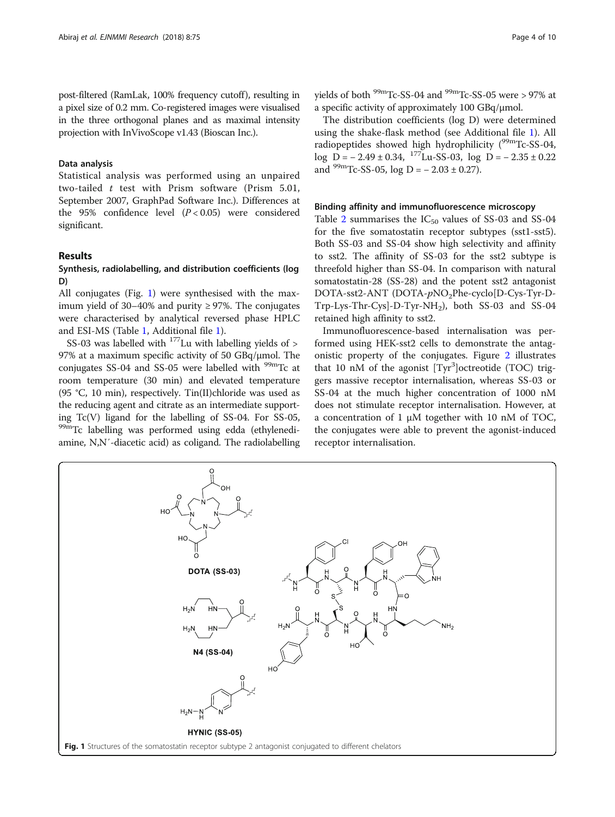post-filtered (RamLak, 100% frequency cutoff), resulting in a pixel size of 0.2 mm. Co-registered images were visualised in the three orthogonal planes and as maximal intensity projection with InVivoScope v1.43 (Bioscan Inc.).

#### Data analysis

Statistical analysis was performed using an unpaired two-tailed t test with Prism software (Prism 5.01, September 2007, GraphPad Software Inc.). Differences at the 95% confidence level  $(P < 0.05)$  were considered significant.

#### Results

#### Synthesis, radiolabelling, and distribution coefficients (log D)

All conjugates (Fig. 1) were synthesised with the maximum yield of 30–40% and purity  $\geq$  97%. The conjugates were characterised by analytical reversed phase HPLC and ESI-MS (Table [1](#page-4-0), Additional file [1\)](#page-8-0).

SS-03 was labelled with  $177$  Lu with labelling yields of  $>$ 97% at a maximum specific activity of 50 GBq/μmol. The conjugates SS-04 and SS-05 were labelled with  $\frac{99 \text{m}}{2}$  at room temperature (30 min) and elevated temperature (95 °C, 10 min), respectively. Tin(II)chloride was used as the reducing agent and citrate as an intermediate supporting Tc(V) ligand for the labelling of SS-04. For SS-05, 99mTc labelling was performed using edda (ethylenediamine, N,N′-diacetic acid) as coligand. The radiolabelling

yields of both <sup>99m</sup>Tc-SS-04 and <sup>99m</sup>Tc-SS-05 were > 97% at a specific activity of approximately 100 GBq/μmol.

The distribution coefficients (log D) were determined using the shake-flask method (see Additional file [1\)](#page-8-0). All radiopeptides showed high hydrophilicity  $(^{99m}$ Tc-SS-04, log D =  $-2.49 \pm 0.34$ , <sup>177</sup>Lu-SS-03, log D =  $-2.35 \pm 0.22$ and  $^{99m}$ Tc-SS-05, log D = - 2.03 ± 0.27).

#### Binding affinity and immunofluorescence microscopy

Table [2](#page-4-0) summarises the  $IC_{50}$  values of SS-03 and SS-04 for the five somatostatin receptor subtypes (sst1-sst5). Both SS-03 and SS-04 show high selectivity and affinity to sst2. The affinity of SS-03 for the sst2 subtype is threefold higher than SS-04. In comparison with natural somatostatin-28 (SS-28) and the potent sst2 antagonist DOTA-sst2-ANT (DOTA-pNO<sub>2</sub>Phe-cyclo[D-Cys-Tyr-D- $Trp-Lys-Thr-Cys]-D-Tyr-NH<sub>2</sub>$ ), both SS-03 and SS-04 retained high affinity to sst2.

Immunofluorescence-based internalisation was performed using HEK-sst2 cells to demonstrate the antagonistic property of the conjugates. Figure [2](#page-5-0) illustrates that 10 nM of the agonist [Tyr<sup>3</sup>]octreotide (TOC) triggers massive receptor internalisation, whereas SS-03 or SS-04 at the much higher concentration of 1000 nM does not stimulate receptor internalisation. However, at a concentration of 1 μM together with 10 nM of TOC, the conjugates were able to prevent the agonist-induced receptor internalisation.

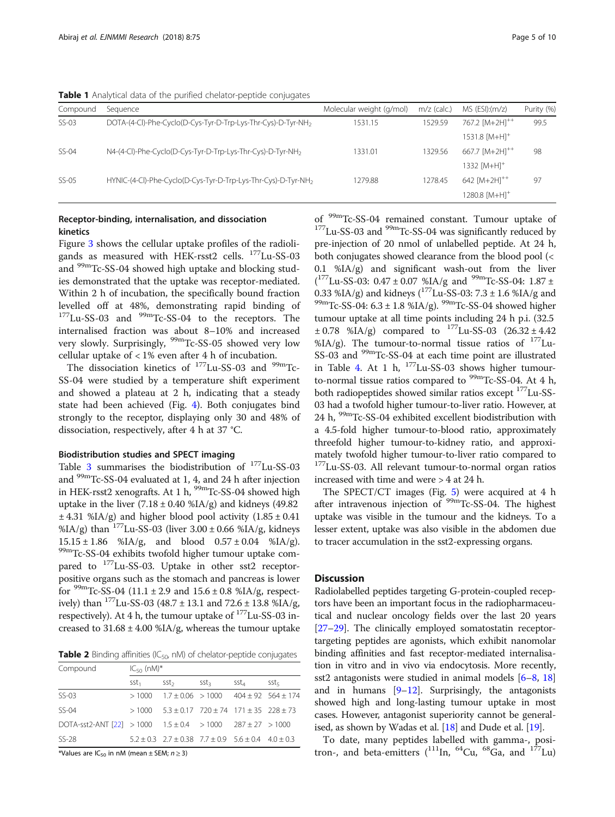<span id="page-4-0"></span>Table 1 Analytical data of the purified chelator-peptide conjugates

| Compound | Sequence                                                                  | Molecular weight (g/mol) | $m/z$ (calc.) | $MS$ (ESI): $(m/z)$           | Purity (%) |
|----------|---------------------------------------------------------------------------|--------------------------|---------------|-------------------------------|------------|
| $SS-03$  | DOTA-(4-CI)-Phe-Cyclo(D-Cys-Tyr-D-Trp-Lys-Thr-Cys)-D-Tyr-NH <sub>2</sub>  | 1531.15                  | 1529.59       | 767.2 [M+2H] <sup>++</sup>    | 99.5       |
|          |                                                                           |                          |               | $1531.8$ $[M+H]$ <sup>+</sup> |            |
| SS-04    | N4-(4-CI)-Phe-Cyclo(D-Cys-Tyr-D-Trp-Lys-Thr-Cys)-D-Tyr-NH <sub>2</sub>    | 1331.01                  | 1329.56       | 667.7 [M+2H] <sup>++</sup>    | 98         |
|          |                                                                           |                          |               | 1332 [M+H] <sup>+</sup>       |            |
| $SS-05$  | HYNIC-(4-CI)-Phe-Cyclo(D-Cys-Tyr-D-Trp-Lys-Thr-Cys)-D-Tyr-NH <sub>2</sub> | 1279.88                  | 1278.45       | 642 $[M+2H]^{++}$             | 97         |
|          |                                                                           |                          |               | 1280.8 [M+H] <sup>+</sup>     |            |
|          |                                                                           |                          |               |                               |            |

#### Receptor-binding, internalisation, and dissociation kinetics

Figure [3](#page-6-0) shows the cellular uptake profiles of the radioligands as measured with HEK-rsst2 cells. <sup>177</sup>Lu-SS-03 and 99mTc-SS-04 showed high uptake and blocking studies demonstrated that the uptake was receptor-mediated. Within 2 h of incubation, the specifically bound fraction levelled off at 48%, demonstrating rapid binding of  $177$ Lu-SS-03 and  $99$ mTc-SS-04 to the receptors. The internalised fraction was about 8–10% and increased very slowly. Surprisingly,  $99mTc$ -SS-05 showed very low cellular uptake of < 1% even after 4 h of incubation.

The dissociation kinetics of  $177$ Lu-SS-03 and  $99$ <sup>m</sup>Tc-SS-04 were studied by a temperature shift experiment and showed a plateau at 2 h, indicating that a steady state had been achieved (Fig. [4\)](#page-6-0). Both conjugates bind strongly to the receptor, displaying only 30 and 48% of dissociation, respectively, after 4 h at 37 °C.

#### Biodistribution studies and SPECT imaging

Table [3](#page-7-0) summarises the biodistribution of 177Lu-SS-03 and 99mTc-SS-04 evaluated at 1, 4, and 24 h after injection in HEK-rsst2 xenografts. At 1 h,  $^{99m}$ Tc-SS-04 showed high uptake in the liver  $(7.18 \pm 0.40 \text{ %IA/g})$  and kidneys  $(49.82$  $\pm$  4.31 %IA/g) and higher blood pool activity (1.85  $\pm$  0.41 %IA/g) than  $^{177}$ Lu-SS-03 (liver  $3.00 \pm 0.66$  %IA/g, kidneys  $15.15 \pm 1.86$  %IA/g, and blood  $0.57 \pm 0.04$  %IA/g). 99mTc-SS-04 exhibits twofold higher tumour uptake compared to  $177$ Lu-SS-03. Uptake in other sst2 receptorpositive organs such as the stomach and pancreas is lower for  $^{99m}$ Tc-SS-04 (11.1 ± 2.9 and 15.6 ± 0.8 %IA/g, respectively) than  $^{177}$ Lu-SS-03 (48.7 ± 13.1 and 72.6 ± 13.8 %IA/g, respectively). At 4 h, the tumour uptake of <sup>177</sup>Lu-SS-03 increased to  $31.68 \pm 4.00$  %IA/g, whereas the tumour uptake

**Table 2** Binding affinities ( $IC_{50}$ , nM) of chelator-peptide conjugates

| Compound                                                           | $IC_{50}$ (nM)*  |                                                              |                  |                  |                  |  |
|--------------------------------------------------------------------|------------------|--------------------------------------------------------------|------------------|------------------|------------------|--|
|                                                                    | Sst <sub>1</sub> | sst <sub>2</sub>                                             | SSt <sub>3</sub> | SSt <sub>4</sub> | Sst <sub>5</sub> |  |
| $SS-03$                                                            |                  | $>1000$ $1.7 + 0.06$ $>1000$ $404 + 92$ $564 + 174$          |                  |                  |                  |  |
| $SS-04$                                                            |                  | $>1000$ 5.3 + 0.17 720 + 74 171 + 35 228 + 73                |                  |                  |                  |  |
| DOTA-sst2-ANT [22] > 1000 $1.5 \pm 0.4$ > 1000 $287 \pm 27$ > 1000 |                  |                                                              |                  |                  |                  |  |
| SS-28                                                              |                  | $5.2 + 0.3$ $2.7 + 0.38$ $7.7 + 0.9$ $5.6 + 0.4$ $4.0 + 0.3$ |                  |                  |                  |  |

\*Values are  $IC_{50}$  in nM (mean  $\pm$  SEM;  $n \ge 3$ )

of  $^{99m}$ Tc-SS-04 remained constant. Tumour uptake of  $^{177}$ Lu-SS-03 and  $^{99m}$ Tc-SS-04 was significantly reduced by pre-injection of 20 nmol of unlabelled peptide. At 24 h, both conjugates showed clearance from the blood pool (< 0.1 %IA/g) and significant wash-out from the liver  $(^{177}$ Lu-SS-03: 0.47 ± 0.07 %IA/g and <sup>99m</sup>Tc-SS-04: 1.87 ± 0.33 %IA/g) and kidneys ( $^{177}$ Lu-SS-03: 7.3 ± 1.6 %IA/g and 99mTc-SS-04: 6.3 ± 1.8 %IA/g). <sup>99m</sup>Tc-SS-04 showed higher tumour uptake at all time points including 24 h p.i. (32.5  $\pm$  0.78 %IA/g) compared to  $^{177}$ Lu-SS-03 (26.32  $\pm$  4.42 %IA/g). The tumour-to-normal tissue ratios of  $^{177}$ Lu-SS-03 and <sup>99m</sup>Tc-SS-04 at each time point are illustrated in Table [4.](#page-7-0) At 1 h,  $177$ Lu-SS-03 shows higher tumourto-normal tissue ratios compared to  $^{99m}$ Tc-SS-04. At 4 h, both radiopeptides showed similar ratios except <sup>177</sup>Lu-SS-03 had a twofold higher tumour-to-liver ratio. However, at 24 h, 99mTc-SS-04 exhibited excellent biodistribution with a 4.5-fold higher tumour-to-blood ratio, approximately threefold higher tumour-to-kidney ratio, and approximately twofold higher tumour-to-liver ratio compared to 177Lu-SS-03. All relevant tumour-to-normal organ ratios increased with time and were > 4 at 24 h.

The SPECT/CT images (Fig. [5\)](#page-7-0) were acquired at 4 h after intravenous injection of  $\rm{^{99m}Tc\text{-}SS\text{-}04}$ . The highest uptake was visible in the tumour and the kidneys. To a lesser extent, uptake was also visible in the abdomen due to tracer accumulation in the sst2-expressing organs.

#### **Discussion**

Radiolabelled peptides targeting G-protein-coupled receptors have been an important focus in the radiopharmaceutical and nuclear oncology fields over the last 20 years [[27](#page-9-0)–[29\]](#page-9-0). The clinically employed somatostatin receptortargeting peptides are agonists, which exhibit nanomolar binding affinities and fast receptor-mediated internalisation in vitro and in vivo via endocytosis. More recently, sst2 antagonists were studied in animal models [[6](#page-8-0)–[8](#page-8-0), [18](#page-9-0)] and in humans  $[9-12]$  $[9-12]$  $[9-12]$  $[9-12]$  $[9-12]$ . Surprisingly, the antagonists showed high and long-lasting tumour uptake in most cases. However, antagonist superiority cannot be generalised, as shown by Wadas et al. [\[18\]](#page-9-0) and Dude et al. [[19](#page-9-0)].

To date, many peptides labelled with gamma-, positron-, and beta-emitters  $(^{111}$ In, <sup>64</sup>Cu, <sup>68</sup>Ga, and <sup>177</sup>Lu)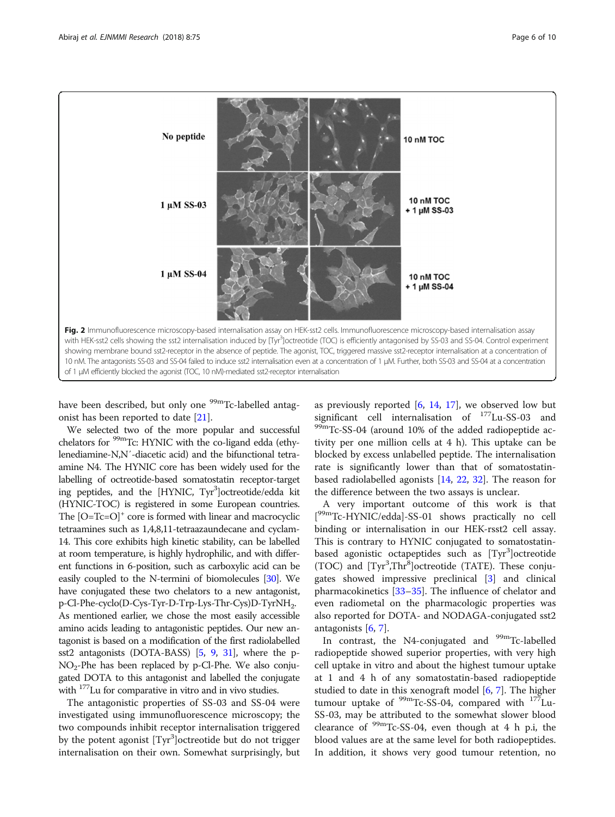<span id="page-5-0"></span>

have been described, but only one <sup>99m</sup>Tc-labelled antagonist has been reported to date [[21\]](#page-9-0).

We selected two of the more popular and successful chelators for <sup>99m</sup>Tc: HYNIC with the co-ligand edda (ethylenediamine-N,N′-diacetic acid) and the bifunctional tetraamine N4. The HYNIC core has been widely used for the labelling of octreotide-based somatostatin receptor-target ing peptides, and the [HYNIC, Tyr<sup>3</sup>]octreotide/edda kit (HYNIC-TOC) is registered in some European countries. The  $[O=Te=O]$ <sup>+</sup> core is formed with linear and macrocyclic tetraamines such as 1,4,8,11-tetraazaundecane and cyclam-14. This core exhibits high kinetic stability, can be labelled at room temperature, is highly hydrophilic, and with different functions in 6-position, such as carboxylic acid can be easily coupled to the N-termini of biomolecules [\[30\]](#page-9-0). We have conjugated these two chelators to a new antagonist, p-Cl-Phe-cyclo(D-Cys-Tyr-D-Trp-Lys-Thr-Cys)D-TyrNH2. As mentioned earlier, we chose the most easily accessible amino acids leading to antagonistic peptides. Our new antagonist is based on a modification of the first radiolabelled sst2 antagonists (DOTA-BASS) [\[5](#page-8-0), [9,](#page-8-0) [31\]](#page-9-0), where the p-NO2-Phe has been replaced by p-Cl-Phe. We also conjugated DOTA to this antagonist and labelled the conjugate with 177Lu for comparative in vitro and in vivo studies.

The antagonistic properties of SS-03 and SS-04 were investigated using immunofluorescence microscopy; the two compounds inhibit receptor internalisation triggered by the potent agonist [Tyr<sup>3</sup>]octreotide but do not trigger internalisation on their own. Somewhat surprisingly, but as previously reported  $[6, 14, 17]$  $[6, 14, 17]$  $[6, 14, 17]$  $[6, 14, 17]$  $[6, 14, 17]$  $[6, 14, 17]$  $[6, 14, 17]$ , we observed low but significant cell internalisation of  $^{177}$ Lu-SS-03 and  $^{99m}$ Tc-SS-04 (around 10% of the added radiopeptide activity per one million cells at 4 h). This uptake can be blocked by excess unlabelled peptide. The internalisation rate is significantly lower than that of somatostatinbased radiolabelled agonists [[14,](#page-9-0) [22](#page-9-0), [32\]](#page-9-0). The reason for the difference between the two assays is unclear.

A very important outcome of this work is that [<sup>99m</sup>Tc-HYNIC/edda]-SS-01 shows practically no cell binding or internalisation in our HEK-rsst2 cell assay. This is contrary to HYNIC conjugated to somatostatinbased agonistic octapeptides such as [Tyr<sup>3</sup>]octreotide (TOC) and [Tyr<sup>3</sup>,Thr<sup>8</sup>]octreotide (TATE). These conjugates showed impressive preclinical [[3](#page-8-0)] and clinical pharmacokinetics [[33](#page-9-0)–[35](#page-9-0)]. The influence of chelator and even radiometal on the pharmacologic properties was also reported for DOTA- and NODAGA-conjugated sst2 antagonists  $[6, 7]$  $[6, 7]$  $[6, 7]$  $[6, 7]$ .

In contrast, the N4-conjugated and <sup>99m</sup>Tc-labelled radiopeptide showed superior properties, with very high cell uptake in vitro and about the highest tumour uptake at 1 and 4 h of any somatostatin-based radiopeptide studied to date in this xenograft model [\[6](#page-8-0), [7](#page-8-0)]. The higher tumour uptake of  $99mTc-SS-04$ , compared with  $177Lu-$ SS-03, may be attributed to the somewhat slower blood clearance of  $\frac{99 \text{m}}{2}$ Tc-SS-04, even though at 4 h p.i, the blood values are at the same level for both radiopeptides. In addition, it shows very good tumour retention, no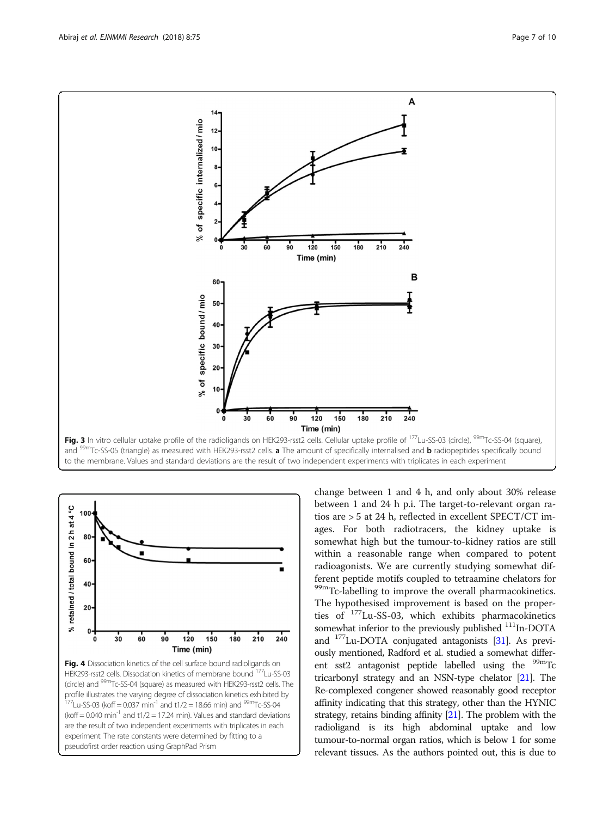<span id="page-6-0"></span>

and <sup>99m</sup>Tc-SS-05 (triangle) as measured with HEK293-rsst2 cells. **a** The amount of specifically internalised and **b** radiopeptides specifically bound to the membrane. Values and standard deviations are the result of two independent experiments with triplicates in each experiment



change between 1 and 4 h, and only about 30% release between 1 and 24 h p.i. The target-to-relevant organ ratios are > 5 at 24 h, reflected in excellent SPECT/CT images. For both radiotracers, the kidney uptake is somewhat high but the tumour-to-kidney ratios are still within a reasonable range when compared to potent radioagonists. We are currently studying somewhat different peptide motifs coupled to tetraamine chelators for <sup>99m</sup>Tc-labelling to improve the overall pharmacokinetics. The hypothesised improvement is based on the properties of 177Lu-SS-03, which exhibits pharmacokinetics somewhat inferior to the previously published <sup>111</sup>In-DOTA and 177Lu-DOTA conjugated antagonists [\[31\]](#page-9-0). As previously mentioned, Radford et al. studied a somewhat different sst2 antagonist peptide labelled using the  $99m$ Tc tricarbonyl strategy and an NSN-type chelator [[21](#page-9-0)]. The Re-complexed congener showed reasonably good receptor affinity indicating that this strategy, other than the HYNIC strategy, retains binding affinity [\[21\]](#page-9-0). The problem with the radioligand is its high abdominal uptake and low tumour-to-normal organ ratios, which is below 1 for some relevant tissues. As the authors pointed out, this is due to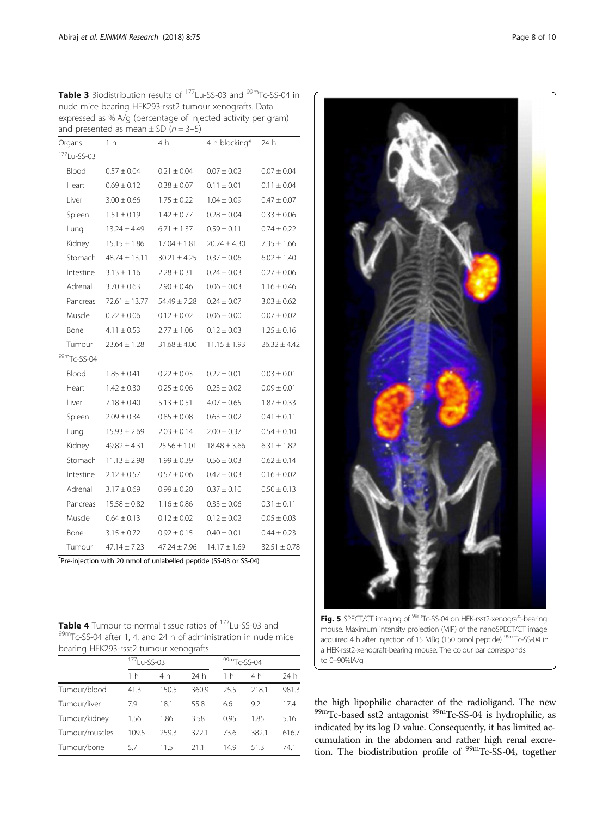<span id="page-7-0"></span>

| Table 3 Biodistribution results of <sup>177</sup> Lu-SS-03 and <sup>99m</sup> Tc-SS-04 in |
|-------------------------------------------------------------------------------------------|
| nude mice bearing HEK293-rsst2 tumour xenografts. Data                                    |
| expressed as %IA/q (percentage of injected activity per gram)                             |
| and presented as mean $\pm$ SD ( $n = 3-5$ )                                              |

| Organs         | 1 <sub>h</sub>    | 4 h              | 4 h blocking*    | 24 h             |
|----------------|-------------------|------------------|------------------|------------------|
| $177$ Lu-SS-03 |                   |                  |                  |                  |
| Blood          | $0.57 \pm 0.04$   | $0.21 \pm 0.04$  | $0.07 \pm 0.02$  | $0.07 \pm 0.04$  |
| Heart          | $0.69 \pm 0.12$   | $0.38 \pm 0.07$  | $0.11 \pm 0.01$  | $0.11 \pm 0.04$  |
| Liver          | $3.00 \pm 0.66$   | $1.75 \pm 0.22$  | $1.04 \pm 0.09$  | $0.47 \pm 0.07$  |
| Spleen         | $1.51 \pm 0.19$   | $1.42 \pm 0.77$  | $0.28 \pm 0.04$  | $0.33 \pm 0.06$  |
| Lung           | $13.24 \pm 4.49$  | $6.71 \pm 1.37$  | $0.59 \pm 0.11$  | $0.74 \pm 0.22$  |
| Kidney         | $15.15 \pm 1.86$  | $17.04 \pm 1.81$ | $20.24 \pm 4.30$ | $7.35 \pm 1.66$  |
| Stomach        | $48.74 \pm 13.11$ | $30.21 \pm 4.25$ | $0.37 \pm 0.06$  | $6.02 \pm 1.40$  |
| Intestine      | $3.13 \pm 1.16$   | $2.28 \pm 0.31$  | $0.24 \pm 0.03$  | $0.27 \pm 0.06$  |
| Adrenal        | $3.70 \pm 0.63$   | $2.90 \pm 0.46$  | $0.06 \pm 0.03$  | $1.16 \pm 0.46$  |
| Pancreas       | $72.61 \pm 13.77$ | $54.49 \pm 7.28$ | $0.24 \pm 0.07$  | $3.03 \pm 0.62$  |
| Muscle         | $0.22 \pm 0.06$   | $0.12 \pm 0.02$  | $0.06 \pm 0.00$  | $0.07 \pm 0.02$  |
| Bone           | $4.11 \pm 0.53$   | $2.77 \pm 1.06$  | $0.12 \pm 0.03$  | $1.25 \pm 0.16$  |
| Tumour         | $23.64 \pm 1.28$  | $31.68 \pm 4.00$ | $11.15 \pm 1.93$ | $26.32 \pm 4.42$ |
| 99mTc-SS-04    |                   |                  |                  |                  |
| Blood          | $1.85 \pm 0.41$   | $0.22 \pm 0.03$  | $0.22 \pm 0.01$  | $0.03 \pm 0.01$  |
| Heart          | $1.42 \pm 0.30$   | $0.25 \pm 0.06$  | $0.23 \pm 0.02$  | $0.09 \pm 0.01$  |
| Liver          | $7.18 \pm 0.40$   | $5.13 \pm 0.51$  | $4.07 \pm 0.65$  | $1.87 \pm 0.33$  |
| Spleen         | $2.09 \pm 0.34$   | $0.85 \pm 0.08$  | $0.63 \pm 0.02$  | $0.41 \pm 0.11$  |
| Lung           | $15.93 \pm 2.69$  | $2.03 \pm 0.14$  | $2.00 \pm 0.37$  | $0.54 \pm 0.10$  |
| Kidney         | $49.82 \pm 4.31$  | $25.56 \pm 1.01$ | $18.48 \pm 3.66$ | $6.31 \pm 1.82$  |
| Stomach        | $11.13 \pm 2.98$  | $1.99 \pm 0.39$  | $0.56 \pm 0.03$  | $0.62 \pm 0.14$  |
| Intestine      | $2.12 \pm 0.57$   | $0.57 \pm 0.06$  | $0.42 \pm 0.03$  | $0.16 \pm 0.02$  |
| Adrenal        | $3.17 \pm 0.69$   | $0.99 \pm 0.20$  | $0.37 \pm 0.10$  | $0.50 \pm 0.13$  |
| Pancreas       | $15.58 \pm 0.82$  | $1.16 \pm 0.86$  | $0.33 \pm 0.06$  | $0.31 \pm 0.11$  |
| Muscle         | $0.64 \pm 0.13$   | $0.12 \pm 0.02$  | $0.12 \pm 0.02$  | $0.05 \pm 0.03$  |
| Bone           | $3.15 \pm 0.72$   | $0.92 \pm 0.15$  | $0.40 \pm 0.01$  | $0.44 \pm 0.23$  |
| Tumour         | $47.14 \pm 7.23$  | $47.24 \pm 7.96$ | $14.17 \pm 1.69$ | $32.51 \pm 0.78$ |

\* Pre-injection with 20 nmol of unlabelled peptide (SS-03 or SS-04)

**Table 4** Tumour-to-normal tissue ratios of <sup>177</sup>Lu-SS-03 and <sup>99m</sup>Tc-SS-04 after 1, 4, and 24 h of administration in nude mice bearing HEK293-rsst2 tumour xenografts

|                | <sup>177</sup> Lu-SS-03 |       |       | 99mTc-SS-04    |       |       |
|----------------|-------------------------|-------|-------|----------------|-------|-------|
|                | 1 h                     | 4 h   | 24 h  | 1 <sub>h</sub> | 4 h   | 24 h  |
| Tumour/blood   | 41.3                    | 150.5 | 360.9 | 25.5           | 218.1 | 981.3 |
| Tumour/liver   | 7.9                     | 18.1  | 55.8  | 6.6            | 9.2   | 17.4  |
| Tumour/kidney  | 1.56                    | 1.86  | 3.58  | 0.95           | 1.85  | 5.16  |
| Tumour/muscles | 109.5                   | 259.3 | 372.1 | 73.6           | 382.1 | 616.7 |
| Tumour/bone    | 5.7                     | 11.5  | 21.1  | 14.9           | 513   | 74.1  |



Fig. 5 SPECT/CT imaging of <sup>99m</sup>Tc-SS-04 on HEK-rsst2-xenograft-bearing mouse. Maximum intensity projection (MIP) of the nanoSPECT/CT image acquired 4 h after injection of 15 MBq (150 pmol peptide)<sup>99m</sup>Tc-SS-04 in a HEK-rsst2-xenograft-bearing mouse. The colour bar corresponds to 0–90%IA/g

the high lipophilic character of the radioligand. The new  $^{99\rm m}$  Tc-based sst2 antagonist  $^{99\rm m}$  Tc-SS-04 is hydrophilic, as indicated by its log D value. Consequently, it has limited accumulation in the abdomen and rather high renal excretion. The biodistribution profile of <sup>99m</sup>Tc-SS-04, together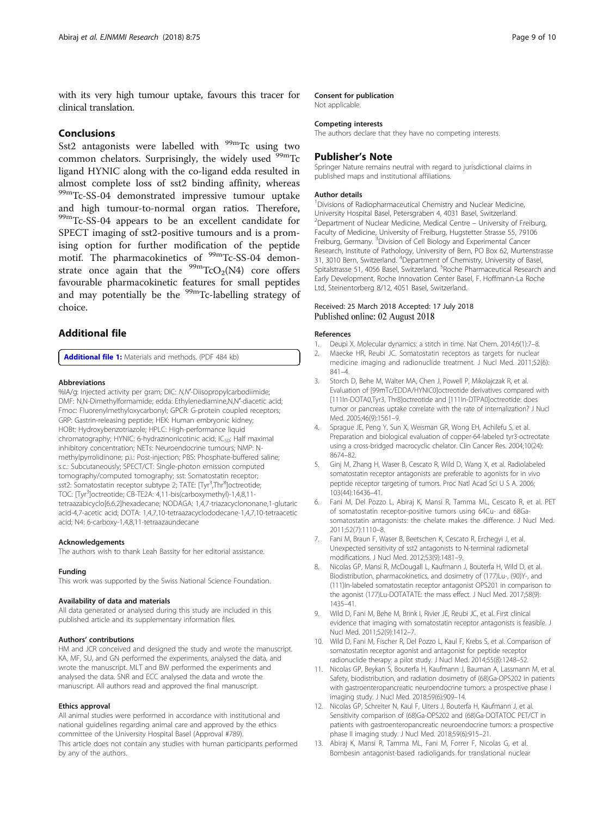<span id="page-8-0"></span>with its very high tumour uptake, favours this tracer for clinical translation.

#### Conclusions

Sst2 antagonists were labelled with  $99m$ Tc using two common chelators. Surprisingly, the widely used <sup>99m</sup>Tc ligand HYNIC along with the co-ligand edda resulted in almost complete loss of sst2 binding affinity, whereas 99mTc-SS-04 demonstrated impressive tumour uptake and high tumour-to-normal organ ratios. Therefore, 99mTc-SS-04 appears to be an excellent candidate for SPECT imaging of sst2-positive tumours and is a promising option for further modification of the peptide motif. The pharmacokinetics of <sup>99m</sup>Tc-SS-04 demonstrate once again that the  $\frac{99m}{\text{TCO}_2(N4)}$  core offers favourable pharmacokinetic features for small peptides and may potentially be the <sup>99m</sup>Tc-labelling strategy of choice.

#### Additional file

[Additional file 1:](https://doi.org/10.1186/s13550-018-0428-y) Materials and methods. (PDF 484 kb)

#### Abbreviations

%IA/g: Injected activity per gram; DIC: N,N'-Diisopropylcarbodiimide; DMF: N,N-Dimethylformamide; edda: Ethylenediamine,N,N′-diacetic acid; Fmoc: Fluorenylmethyloxycarbonyl; GPCR: G-protein coupled receptors; GRP: Gastrin-releasing peptide; HEK: Human embryonic kidney; HOBt: Hydroxybenzotriazole; HPLC: High-performance liquid chromatography; HYNIC: 6-hydrazinonicotinic acid; IC<sub>50</sub>: Half maximal inhibitory concentration; NETs: Neuroendocrine tumours; NMP: Nmethylpyrrolidinone; p.i.: Post-injection; PBS: Phosphate-buffered saline; s.c.: Subcutaneously; SPECT/CT: Single-photon emission computed tomography/computed tomography; sst: Somatostatin receptor; sst2: Somatostatin receptor subtype 2; TATE: [Tyr<sup>3</sup>,Thr<sup>8</sup>]octreotide; TOC: [Tyr<sup>3</sup>]octreotide; CB-TE2A: 4,11-bis(carboxymethyl)-1,4,8,11tetraazabicyclo[6.6.2]hexadecane; NODAGA: 1,4,7-triazacyclononane,1-glutaric acid-4,7-acetic acid; DOTA: 1,4,7,10-tetraazacyclododecane-1,4,7,10-tetraacetic acid; N4: 6-carboxy-1,4,8,11-tetraazaundecane

#### Acknowledgements

The authors wish to thank Leah Bassity for her editorial assistance.

#### Funding

This work was supported by the Swiss National Science Foundation.

#### Availability of data and materials

All data generated or analysed during this study are included in this published article and its supplementary information files.

#### Authors' contributions

HM and JCR conceived and designed the study and wrote the manuscript. KA, MF, SU, and GN performed the experiments, analysed the data, and wrote the manuscript. MLT and BW performed the experiments and analysed the data. SNR and ECC analysed the data and wrote the manuscript. All authors read and approved the final manuscript.

#### Ethics approval

All animal studies were performed in accordance with institutional and national guidelines regarding animal care and approved by the ethics committee of the University Hospital Basel (Approval #789). This article does not contain any studies with human participants performed by any of the authors.

#### Consent for publication

Not applicable.

#### Competing interests

The authors declare that they have no competing interests.

#### Publisher's Note

Springer Nature remains neutral with regard to jurisdictional claims in published maps and institutional affiliations.

#### Author details

<sup>1</sup> Divisions of Radiopharmaceutical Chemistry and Nuclear Medicine University Hospital Basel, Petersgraben 4, 4031 Basel, Switzerland. 2 Department of Nuclear Medicine, Medical Centre – University of Freiburg, Faculty of Medicine, University of Freiburg, Hugstetter Strasse 55, 79106 Freiburg, Germany. <sup>3</sup>Division of Cell Biology and Experimental Cancer Research, Institute of Pathology, University of Bern, PO Box 62, Murtenstrasse 31, 3010 Bern, Switzerland. <sup>4</sup>Department of Chemistry, University of Basel Spitalstrasse 51, 4056 Basel, Switzerland. <sup>5</sup>Roche Pharmaceutical Research and Early Development, Roche Innovation Center Basel, F. Hoffmann-La Roche Ltd, Steinentorberg 8/12, 4051 Basel, Switzerland.

#### Received: 25 March 2018 Accepted: 17 July 2018 Published online: 02 August 2018

#### References

- 1. Deupi X. Molecular dynamics: a stitch in time. Nat Chem. 2014;6(1):7–8.
- 2. Maecke HR, Reubi JC. Somatostatin receptors as targets for nuclear medicine imaging and radionuclide treatment. J Nucl Med. 2011;52(6): 841–4.
- 3. Storch D, Behe M, Walter MA, Chen J, Powell P, Mikolajczak R, et al. Evaluation of [99mTc/EDDA/HYNIC0]octreotide derivatives compared with [111In-DOTA0,Tyr3, Thr8]octreotide and [111In-DTPA0]octreotide: does tumor or pancreas uptake correlate with the rate of internalization? J Nucl Med. 2005;46(9):1561–9.
- 4. Sprague JE, Peng Y, Sun X, Weisman GR, Wong EH, Achilefu S, et al. Preparation and biological evaluation of copper-64-labeled tyr3-octreotate using a cross-bridged macrocyclic chelator. Clin Cancer Res. 2004;10(24): 8674–82.
- 5. Ginj M, Zhang H, Waser B, Cescato R, Wild D, Wang X, et al. Radiolabeled somatostatin receptor antagonists are preferable to agonists for in vivo peptide receptor targeting of tumors. Proc Natl Acad Sci U S A. 2006; 103(44):16436–41.
- 6. Fani M, Del Pozzo L, Abiraj K, Mansi R, Tamma ML, Cescato R, et al. PET of somatostatin receptor-positive tumors using 64Cu- and 68Gasomatostatin antagonists: the chelate makes the difference. J Nucl Med. 2011;52(7):1110–8.
- Fani M, Braun F, Waser B, Beetschen K, Cescato R, Erchegyi J, et al. Unexpected sensitivity of sst2 antagonists to N-terminal radiometal modifications. J Nucl Med. 2012;53(9):1481–9.
- 8. Nicolas GP, Mansi R, McDougall L, Kaufmann J, Bouterfa H, Wild D, et al. Biodistribution, pharmacokinetics, and dosimetry of (177)Lu-, (90)Y-, and (111)In-labeled somatostatin receptor antagonist OPS201 in comparison to the agonist (177)Lu-DOTATATE: the mass effect. J Nucl Med. 2017;58(9): 1435–41.
- 9. Wild D, Fani M, Behe M, Brink I, Rivier JE, Reubi JC, et al. First clinical evidence that imaging with somatostatin receptor antagonists is feasible. J Nucl Med. 2011;52(9):1412–7.
- 10. Wild D, Fani M, Fischer R, Del Pozzo L, Kaul F, Krebs S, et al. Comparison of somatostatin receptor agonist and antagonist for peptide receptor radionuclide therapy: a pilot study. J Nucl Med. 2014;55(8):1248–52.
- 11. Nicolas GP, Beykan S, Bouterfa H, Kaufmann J, Bauman A, Lassmann M, et al. Safety, biodistribution, and radiation dosimetry of (68)Ga-OPS202 in patients with gastroenteropancreatic neuroendocrine tumors: a prospective phase I imaging study. J Nucl Med. 2018;59(6):909–14.
- 12. Nicolas GP, Schreiter N, Kaul F, Uiters J, Bouterfa H, Kaufmann J, et al. Sensitivity comparison of (68)Ga-OPS202 and (68)Ga-DOTATOC PET/CT in patients with gastroenteropancreatic neuroendocrine tumors: a prospective phase II imaging study. J Nucl Med. 2018;59(6):915–21.
- 13. Abiraj K, Mansi R, Tamma ML, Fani M, Forrer F, Nicolas G, et al. Bombesin antagonist-based radioligands for translational nuclear